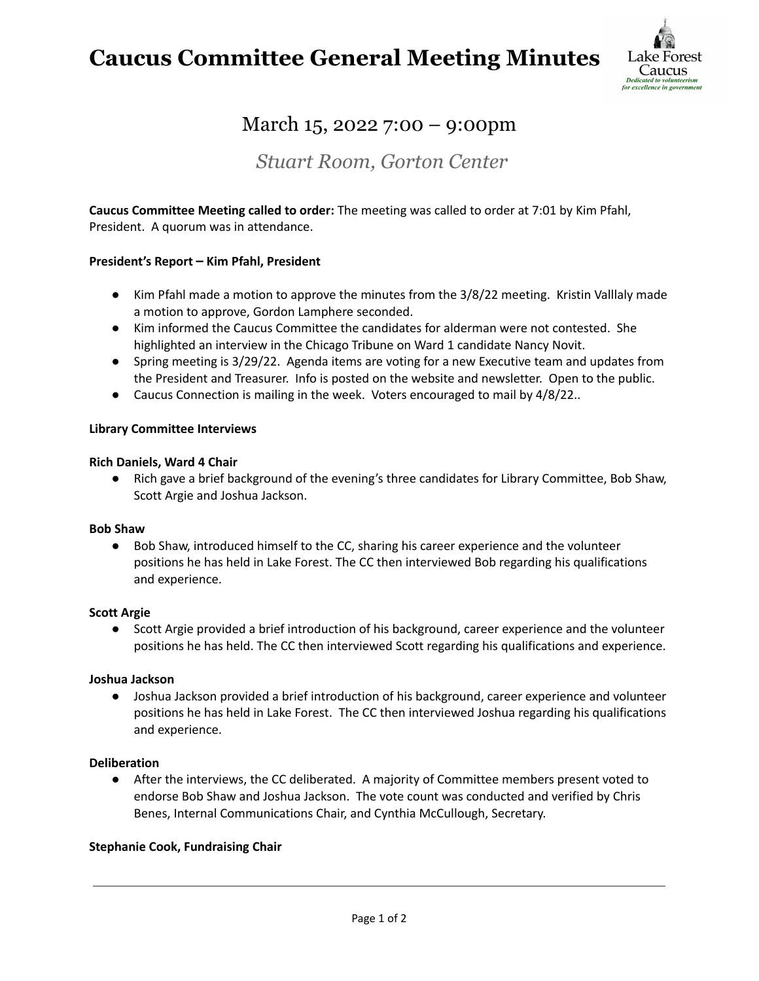# **Caucus Committee General Meeting Minutes**



# March 15, 2022 7:00 – 9:00pm

*Stuart Room, Gorton Center*

**Caucus Committee Meeting called to order:** The meeting was called to order at 7:01 by Kim Pfahl, President. A quorum was in attendance.

### **President's Report – Kim Pfahl, President**

- Kim Pfahl made a motion to approve the minutes from the 3/8/22 meeting. Kristin Valllaly made a motion to approve, Gordon Lamphere seconded.
- Kim informed the Caucus Committee the candidates for alderman were not contested. She highlighted an interview in the Chicago Tribune on Ward 1 candidate Nancy Novit.
- Spring meeting is 3/29/22. Agenda items are voting for a new Executive team and updates from the President and Treasurer. Info is posted on the website and newsletter. Open to the public.
- Caucus Connection is mailing in the week. Voters encouraged to mail by 4/8/22..

### **Library Committee Interviews**

#### **Rich Daniels, Ward 4 Chair**

● Rich gave a brief background of the evening's three candidates for Library Committee, Bob Shaw, Scott Argie and Joshua Jackson.

#### **Bob Shaw**

● Bob Shaw, introduced himself to the CC, sharing his career experience and the volunteer positions he has held in Lake Forest. The CC then interviewed Bob regarding his qualifications and experience.

#### **Scott Argie**

● Scott Argie provided a brief introduction of his background, career experience and the volunteer positions he has held. The CC then interviewed Scott regarding his qualifications and experience.

#### **Joshua Jackson**

● Joshua Jackson provided a brief introduction of his background, career experience and volunteer positions he has held in Lake Forest. The CC then interviewed Joshua regarding his qualifications and experience.

#### **Deliberation**

● After the interviews, the CC deliberated. A majority of Committee members present voted to endorse Bob Shaw and Joshua Jackson. The vote count was conducted and verified by Chris Benes, Internal Communications Chair, and Cynthia McCullough, Secretary.

# **Stephanie Cook, Fundraising Chair**